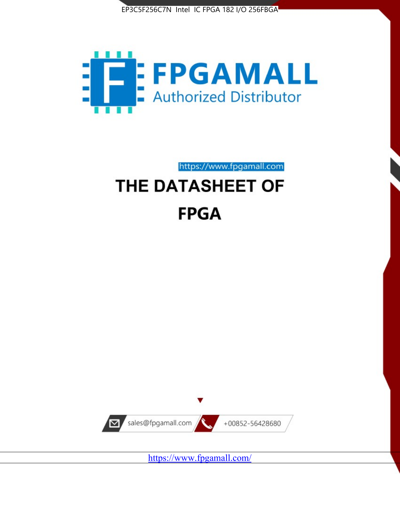



https://www.fpgamall.com THE DATASHEET OF

# **FPGA**



<https://www.fpgamall.com/>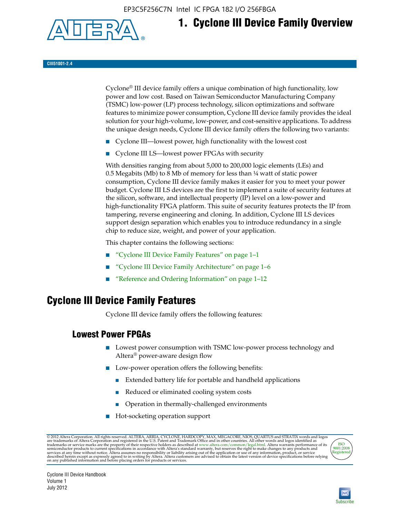EP3C5F256C7N Intel IC FPGA 182 I/O 256FBGA



# **1. Cyclone III Device Family Overview**

**CIII51001-2.4**

Cyclone® III device family offers a unique combination of high functionality, low power and low cost. Based on Taiwan Semiconductor Manufacturing Company (TSMC) low-power (LP) process technology, silicon optimizations and software features to minimize power consumption, Cyclone III device family provides the ideal solution for your high-volume, low-power, and cost-sensitive applications. To address the unique design needs, Cyclone III device family offers the following two variants:

- Cyclone III—lowest power, high functionality with the lowest cost
- Cyclone III LS—lowest power FPGAs with security

With densities ranging from about 5,000 to 200,000 logic elements (LEs) and 0.5 Megabits (Mb) to 8 Mb of memory for less than ¼ watt of static power consumption, Cyclone III device family makes it easier for you to meet your power budget. Cyclone III LS devices are the first to implement a suite of security features at the silicon, software, and intellectual property (IP) level on a low-power and high-functionality FPGA platform. This suite of security features protects the IP from tampering, reverse engineering and cloning. In addition, Cyclone III LS devices support design separation which enables you to introduce redundancy in a single chip to reduce size, weight, and power of your application.

This chapter contains the following sections:

- "Cyclone III Device Family Features" on page 1–1
- "Cyclone III Device Family Architecture" on page 1–6
- "Reference and Ordering Information" on page 1–12

### **Cyclone III Device Family Features**

Cyclone III device family offers the following features:

#### **Lowest Power FPGAs**

- Lowest power consumption with TSMC low-power process technology and Altera® power-aware design flow
- Low-power operation offers the following benefits:
	- Extended battery life for portable and handheld applications
	- Reduced or eliminated cooling system costs
	- Operation in thermally-challenged environments
- Hot-socketing operation support

@ 2012 Altera Corporation. All rights reserved. ALTERA, ARRIA, CYCLONE, HARDCOPY, MAX, MEGACORE, NIOS, QUARTUS and STRATIX words and logos are trademarks of Altera Corporation and registered in the U.S. Patent and Trademar



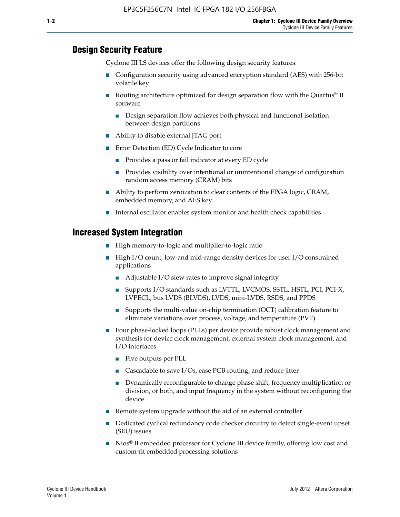#### **Design Security Feature**

Cyclone III LS devices offer the following design security features:

- Configuration security using advanced encryption standard (AES) with 256-bit volatile key
- **■** Routing architecture optimized for design separation flow with the Quartus<sup>®</sup> II software
	- Design separation flow achieves both physical and functional isolation between design partitions
- Ability to disable external JTAG port
- Error Detection (ED) Cycle Indicator to core
	- Provides a pass or fail indicator at every ED cycle
	- Provides visibility over intentional or unintentional change of configuration random access memory (CRAM) bits
- Ability to perform zeroization to clear contents of the FPGA logic, CRAM, embedded memory, and AES key
- Internal oscillator enables system monitor and health check capabilities

#### **Increased System Integration**

- High memory-to-logic and multiplier-to-logic ratio
- High I/O count, low-and mid-range density devices for user I/O constrained applications
	- Adjustable I/O slew rates to improve signal integrity
	- Supports I/O standards such as LVTTL, LVCMOS, SSTL, HSTL, PCI, PCI-X, LVPECL, bus LVDS (BLVDS), LVDS, mini-LVDS, RSDS, and PPDS
	- Supports the multi-value on-chip termination (OCT) calibration feature to eliminate variations over process, voltage, and temperature (PVT)
- Four phase-locked loops (PLLs) per device provide robust clock management and synthesis for device clock management, external system clock management, and I/O interfaces
	- Five outputs per PLL
	- Cascadable to save I/Os, ease PCB routing, and reduce jitter
	- Dynamically reconfigurable to change phase shift, frequency multiplication or division, or both, and input frequency in the system without reconfiguring the device
- Remote system upgrade without the aid of an external controller
- Dedicated cyclical redundancy code checker circuitry to detect single-event upset (SEU) issues
- Nios<sup>®</sup> II embedded processor for Cyclone III device family, offering low cost and custom-fit embedded processing solutions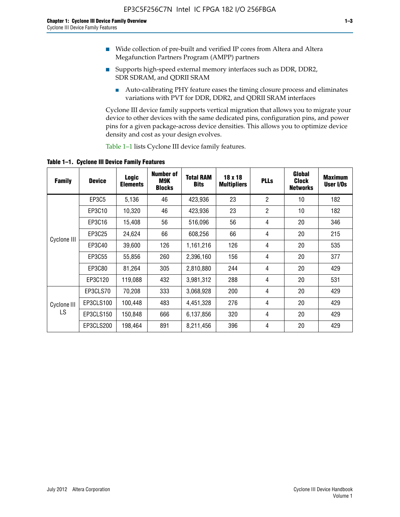- Wide collection of pre-built and verified IP cores from Altera and Altera Megafunction Partners Program (AMPP) partners
- Supports high-speed external memory interfaces such as DDR, DDR2, SDR SDRAM, and QDRII SRAM
	- Auto-calibrating PHY feature eases the timing closure process and eliminates variations with PVT for DDR, DDR2, and QDRII SRAM interfaces

Cyclone III device family supports vertical migration that allows you to migrate your device to other devices with the same dedicated pins, configuration pins, and power pins for a given package-across device densities. This allows you to optimize device density and cost as your design evolves.

Table 1–1 lists Cyclone III device family features.

**Table 1–1. Cyclone III Device Family Features**

| <b>Family</b>     | <b>Device</b> | <b>Logic</b><br><b>Elements</b> | Number of<br>M9K<br><b>Blocks</b> | <b>Total RAM</b><br><b>Bits</b> | 18 x 18<br><b>Multipliers</b> | <b>PLLs</b>    | Global<br><b>Clock</b><br><b>Networks</b> | <b>Maximum</b><br>User I/Os |
|-------------------|---------------|---------------------------------|-----------------------------------|---------------------------------|-------------------------------|----------------|-------------------------------------------|-----------------------------|
|                   | <b>EP3C5</b>  | 5,136                           | 46                                | 423,936                         | 23                            | $\overline{2}$ | 10                                        | 182                         |
|                   | EP3C10        | 10,320                          | 46                                | 423,936                         | 23                            | $\overline{2}$ | 10                                        | 182                         |
|                   | EP3C16        | 15,408                          | 56                                | 516,096                         | 56                            | 4              | 20                                        | 346                         |
|                   | EP3C25        | 24,624                          | 66                                | 608,256                         | 66                            | 4              | 20                                        | 215                         |
| Cyclone III       | EP3C40        | 39,600                          | 126                               | 1,161,216                       | 126                           | 4              | 20                                        | 535                         |
|                   | EP3C55        | 55,856                          | 260                               | 2,396,160                       | 156                           | 4              | 20                                        | 377                         |
|                   | EP3C80        | 81,264                          | 305                               | 2,810,880                       | 244                           | 4              | 20                                        | 429                         |
|                   | EP3C120       | 119,088                         | 432                               | 3,981,312                       | 288                           | 4              | 20                                        | 531                         |
|                   | EP3CLS70      | 70,208                          | 333                               | 3,068,928                       | 200                           | 4              | 20                                        | 429                         |
| Cyclone III<br>LS | EP3CLS100     | 100,448                         | 483                               | 4,451,328                       | 276                           | 4              | 20                                        | 429                         |
|                   | EP3CLS150     | 150,848                         | 666                               | 6,137,856                       | 320                           | 4              | 20                                        | 429                         |
|                   | EP3CLS200     | 198,464                         | 891                               | 8,211,456                       | 396                           | 4              | 20                                        | 429                         |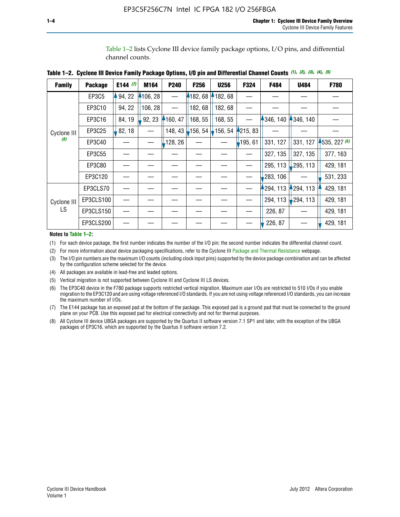Table 1–2 lists Cyclone III device family package options, I/O pins, and differential channel counts.

| <b>Family</b>      | <b>Package</b> | E144 $(7)$ | M164     | P240     | F256            | <b>U256</b> | F324       | F484     | U484                   | F780           |
|--------------------|----------------|------------|----------|----------|-----------------|-------------|------------|----------|------------------------|----------------|
|                    | EP3C5          | 94, 22     | 4106, 28 |          | 182, 68         | 182, 68     |            |          |                        |                |
|                    | EP3C10         | 94, 22     | 106, 28  |          | 182, 68         | 182,68      |            |          |                        |                |
|                    | EP3C16         | 84, 19     | 92, 23   | 160, 47  | 168, 55         | 168, 55     |            | 346, 140 | 4346, 140              |                |
| Cyclone III        | EP3C25         | 82, 18     |          | 148, 43  | $\vert$ 156, 54 | $-156, 54$  | 4215, 83   |          |                        |                |
| (8)                | EP3C40         |            |          | ,128, 26 |                 |             | $-195, 61$ | 331, 127 | 331, 127               | $-535, 227(6)$ |
|                    | EP3C55         |            |          |          |                 |             |            | 327, 135 | 327, 135               | 377, 163       |
|                    | EP3C80         |            |          |          |                 |             |            | 295, 113 | 295, 113               | 429, 181       |
|                    | EP3C120        |            |          |          |                 |             |            | 283, 106 |                        | 531, 233       |
|                    | EP3CLS70       |            |          |          |                 |             |            | 294, 113 | $-294, 113$            | 429, 181       |
| Cyclone III<br>LS. | EP3CLS100      |            |          |          |                 |             |            | 294, 113 | $\frac{1}{2}$ 294, 113 | 429, 181       |
|                    | EP3CLS150      |            |          |          |                 |             |            | 226, 87  |                        | 429, 181       |
|                    | EP3CLS200      |            |          |          |                 |             |            | 226, 87  |                        | 429, 181       |

**Table 1–2. Cyclone III Device Family Package Options, I/O pin and Differential Channel Counts** *(1)***,** *(2)***,** *(3)***,** *(4)***,** *(5)*

**Notes to Table 1–2:**

(1) For each device package, the first number indicates the number of the I/O pin; the second number indicates the differential channel count.

(2) For more information about device packaging specifications, refer to the Cyclone III [Package and Thermal Resistance](http://www.altera.com/support/devices/packaging/specifications/pkg-pin/dev-package-listing.jsp?device=Cyclone_III) webpage.

(3) The I/O pin numbers are the maximum I/O counts (including clock input pins) supported by the device package combination and can be affected by the configuration scheme selected for the device.

(4) All packages are available in lead-free and leaded options.

(5) Vertical migration is not supported between Cyclone III and Cyclone III LS devices.

(6) The EP3C40 device in the F780 package supports restricted vertical migration. Maximum user I/Os are restricted to 510 I/Os if you enable migration to the EP3C120 and are using voltage referenced I/O standards. If you are not using voltage referenced I/O standards, you can increase the maximum number of I/Os.

(7) The E144 package has an exposed pad at the bottom of the package. This exposed pad is a ground pad that must be connected to the ground plane on your PCB. Use this exposed pad for electrical connectivity and not for thermal purposes.

(8) All Cyclone III device UBGA packages are supported by the Quartus II software version 7.1 SP1 and later, with the exception of the UBGA packages of EP3C16, which are supported by the Quartus II software version 7.2.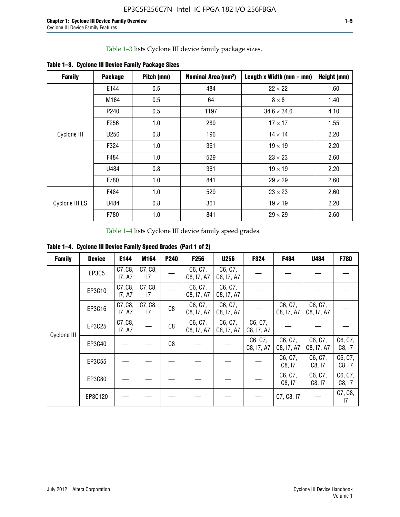Table 1–3 lists Cyclone III device family package sizes.

| <b>Family</b>  | <b>Package</b>   | Pitch (mm) | Nominal Area (mm <sup>2</sup> ) | Length x Width (mm $\times$ mm) | Height (mm) |
|----------------|------------------|------------|---------------------------------|---------------------------------|-------------|
|                | E144             | 0.5        | 484                             | $22 \times 22$                  | 1.60        |
| Cyclone III    | M164             | 0.5        | 64                              | $8 \times 8$                    | 1.40        |
|                | P <sub>240</sub> | 0.5        | 1197                            | $34.6 \times 34.6$              | 4.10        |
|                | F <sub>256</sub> | 1.0        | 289                             | $17 \times 17$                  | 1.55        |
|                | U256             | 0.8        | 196                             | $14 \times 14$                  | 2.20        |
|                | F324             | 1.0        | 361                             | $19 \times 19$                  | 2.20        |
|                | F484             | 1.0        | 529                             | $23 \times 23$                  | 2.60        |
|                | U484             | 0.8        | 361                             | $19 \times 19$                  | 2.20        |
|                | F780             | 1.0        | 841                             | $29 \times 29$                  | 2.60        |
| Cyclone III LS | F484             | 1.0        | 529                             | $23 \times 23$                  | 2.60        |
|                | U484             | 0.8        | 361                             | $19 \times 19$                  | 2.20        |
|                | F780             | 1.0        | 841                             | $29 \times 29$                  | 2.60        |

**Table 1–3. Cyclone III Device Family Package Sizes**

Table 1–4 lists Cyclone III device family speed grades.

**Table 1–4. Cyclone III Device Family Speed Grades (Part 1 of 2)**

| <b>Family</b> | <b>Device</b> | E144              | M164          | <b>P240</b> | <b>F256</b>           | <b>U256</b>           | F324                  | F484                  | U484                  | <b>F780</b>       |
|---------------|---------------|-------------------|---------------|-------------|-----------------------|-----------------------|-----------------------|-----------------------|-----------------------|-------------------|
| Cyclone III   | EP3C5         | C7, C8,<br>17, A7 | C7, C8,<br>17 |             | C6, C7,<br>C8, I7, A7 | C6, C7,<br>C8, I7, A7 |                       |                       |                       |                   |
|               | EP3C10        | C7, C8,<br>17, A7 | C7, C8,<br>17 |             | C6, C7,<br>C8, I7, A7 | C6, C7,<br>C8, I7, A7 |                       |                       |                       |                   |
|               | EP3C16        | C7, C8,<br>17, A7 | C7, C8,<br>17 | C8          | C6, C7,<br>C8, I7, A7 | C6, C7,<br>C8, I7, A7 |                       | C6, C7,<br>C8, I7, A7 | C6, C7,<br>C8, I7, A7 |                   |
|               | EP3C25        | C7, C8,<br>17, A7 |               | C8          | C6, C7,<br>C8, I7, A7 | C6, C7,<br>C8, I7, A7 | C6, C7,<br>C8, I7, A7 |                       |                       |                   |
|               | EP3C40        |                   |               | C8          |                       |                       | C6, C7,<br>C8, I7, A7 | C6, C7,<br>C8, I7, A7 | C6, C7,<br>C8, I7, A7 | C6, C7,<br>C8, 17 |
|               | EP3C55        |                   |               |             |                       |                       |                       | C6, C7,<br>C8, 17     | C6, C7,<br>C8, 17     | C6, C7,<br>C8, 17 |
|               | EP3C80        |                   |               |             |                       |                       |                       | C6, C7,<br>C8, 17     | C6, C7,<br>C8, 17     | C6, C7,<br>C8, 17 |
|               | EP3C120       |                   |               |             |                       |                       |                       | C7, C8, I7            |                       | C7, C8,<br>17     |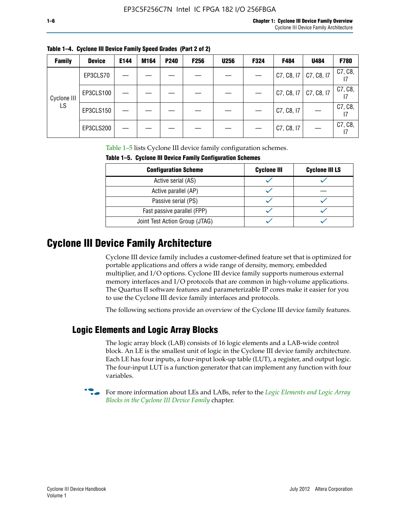| <b>Family</b> | <b>Device</b> | E144 | M164 | <b>P240</b> | <b>F256</b> | <b>U256</b> | F324 | F484                      | U484       | F780                       |
|---------------|---------------|------|------|-------------|-------------|-------------|------|---------------------------|------------|----------------------------|
| Cyclone III   | EP3CLS70      |      |      |             |             |             |      | $C7, C8, 17$ $C7, C8, 17$ |            | C7, C8,                    |
|               | EP3CLS100     |      |      |             |             |             |      | C7, C8, 17                | C7, C8, I7 | C7, C8,                    |
| LS            | EP3CLS150     |      |      |             |             |             |      | C7, C8, I7                |            | C7, C8,<br>$\overline{17}$ |
|               | EP3CLS200     |      |      |             |             |             |      | C7, C8, I7                |            | C7, C8,<br>17              |

**Table 1–4. Cyclone III Device Family Speed Grades (Part 2 of 2)**

Table 1–5 lists Cyclone III device family configuration schemes.

| <b>IQUIE 1-3. CYCLUILE III DEVICE FAILIIV CUILILUILATION SCIIENIES</b> |                    |                       |  |  |
|------------------------------------------------------------------------|--------------------|-----------------------|--|--|
| <b>Configuration Scheme</b>                                            | <b>Cyclone III</b> | <b>Cyclone III LS</b> |  |  |
| Active serial (AS)                                                     |                    |                       |  |  |
| Active parallel (AP)                                                   |                    |                       |  |  |
| Passive serial (PS)                                                    |                    |                       |  |  |
| Fast passive parallel (FPP)                                            |                    |                       |  |  |
| Joint Test Action Group (JTAG)                                         |                    |                       |  |  |

**Table 1–5. Cyclone III Device Family Configuration Schemes**

## **Cyclone III Device Family Architecture**

Cyclone III device family includes a customer-defined feature set that is optimized for portable applications and offers a wide range of density, memory, embedded multiplier, and I/O options. Cyclone III device family supports numerous external memory interfaces and I/O protocols that are common in high-volume applications. The Quartus II software features and parameterizable IP cores make it easier for you to use the Cyclone III device family interfaces and protocols.

The following sections provide an overview of the Cyclone III device family features.

#### **Logic Elements and Logic Array Blocks**

The logic array block (LAB) consists of 16 logic elements and a LAB-wide control block. An LE is the smallest unit of logic in the Cyclone III device family architecture. Each LE has four inputs, a four-input look-up table (LUT), a register, and output logic. The four-input LUT is a function generator that can implement any function with four variables.

f For more information about LEs and LABs, refer to the *[Logic Elements and Logic Array](http://www.altera.com/literature/hb/cyc3/cyc3_ciii51002.pdf)  [Blocks in the Cyclone III Device Family](http://www.altera.com/literature/hb/cyc3/cyc3_ciii51002.pdf)* chapter.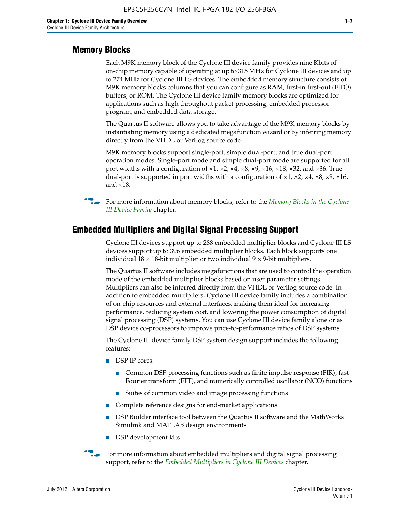#### **Memory Blocks**

Each M9K memory block of the Cyclone III device family provides nine Kbits of on-chip memory capable of operating at up to 315 MHz for Cyclone III devices and up to 274 MHz for Cyclone III LS devices. The embedded memory structure consists of M9K memory blocks columns that you can configure as RAM, first-in first-out (FIFO) buffers, or ROM. The Cyclone III device family memory blocks are optimized for applications such as high throughout packet processing, embedded processor program, and embedded data storage.

The Quartus II software allows you to take advantage of the M9K memory blocks by instantiating memory using a dedicated megafunction wizard or by inferring memory directly from the VHDL or Verilog source code.

M9K memory blocks support single-port, simple dual-port, and true dual-port operation modes. Single-port mode and simple dual-port mode are supported for all port widths with a configuration of  $\times1$ ,  $\times2$ ,  $\times4$ ,  $\times8$ ,  $\times9$ ,  $\times16$ ,  $\times18$ ,  $\times32$ , and  $\times36$ . True dual-port is supported in port widths with a configuration of  $\times$ 1,  $\times$ 2,  $\times$ 4,  $\times$ 8,  $\times$ 9,  $\times$ 16, and ×18.



**For more information about memory blocks, refer to the** *Memory Blocks in the Cyclone [III Device Family](http://www.altera.com/literature/hb/cyc3/cyc3_ciii51004.pdf)* chapter.

#### **Embedded Multipliers and Digital Signal Processing Support**

Cyclone III devices support up to 288 embedded multiplier blocks and Cyclone III LS devices support up to 396 embedded multiplier blocks. Each block supports one individual  $18 \times 18$ -bit multiplier or two individual  $9 \times 9$ -bit multipliers.

The Quartus II software includes megafunctions that are used to control the operation mode of the embedded multiplier blocks based on user parameter settings. Multipliers can also be inferred directly from the VHDL or Verilog source code. In addition to embedded multipliers, Cyclone III device family includes a combination of on-chip resources and external interfaces, making them ideal for increasing performance, reducing system cost, and lowering the power consumption of digital signal processing (DSP) systems. You can use Cyclone III device family alone or as DSP device co-processors to improve price-to-performance ratios of DSP systems.

The Cyclone III device family DSP system design support includes the following features:

- DSP IP cores:
	- Common DSP processing functions such as finite impulse response (FIR), fast Fourier transform (FFT), and numerically controlled oscillator (NCO) functions
	- Suites of common video and image processing functions
- Complete reference designs for end-market applications
- DSP Builder interface tool between the Quartus II software and the MathWorks Simulink and MATLAB design environments
- DSP development kits
- For more information about embedded multipliers and digital signal processing support, refer to the *[Embedded Multipliers in Cyclone III Devices](http://www.altera.com/literature/hb/cyc3/cyc3_ciii51005.pdf)* chapter.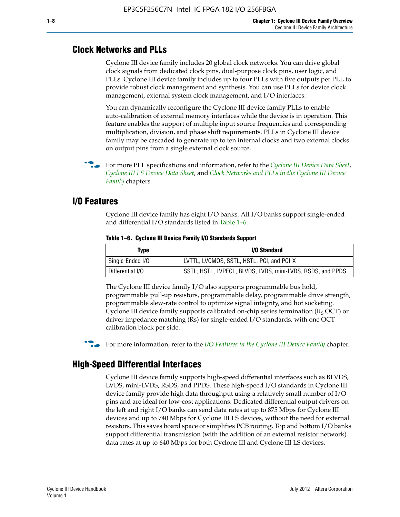#### **Clock Networks and PLLs**

Cyclone III device family includes 20 global clock networks. You can drive global clock signals from dedicated clock pins, dual-purpose clock pins, user logic, and PLLs. Cyclone III device family includes up to four PLLs with five outputs per PLL to provide robust clock management and synthesis. You can use PLLs for device clock management, external system clock management, and I/O interfaces.

You can dynamically reconfigure the Cyclone III device family PLLs to enable auto-calibration of external memory interfaces while the device is in operation. This feature enables the support of multiple input source frequencies and corresponding multiplication, division, and phase shift requirements. PLLs in Cyclone III device family may be cascaded to generate up to ten internal clocks and two external clocks on output pins from a single external clock source.

**For more PLL specifications and information, refer to the** *[Cyclone III Device Data Sheet](http://www.altera.com/literature/hb/cyc3/cyc3_ciii52001.pdf)***,** *[Cyclone III LS Device Data Sheet](http://www.altera.com/literature/hb/cyc3/cyc3_ciii52002.pdf)*, and *[Clock Networks and PLLs in the Cyclone III Device](http://www.altera.com/literature/hb/cyc3/cyc3_ciii51006.pdf)  [Family](http://www.altera.com/literature/hb/cyc3/cyc3_ciii51006.pdf)* chapters.

#### **I/O Features**

Cyclone III device family has eight I/O banks. All I/O banks support single-ended and differential I/O standards listed in Table 1–6.

| Type             | <b>I/O Standard</b>                                        |
|------------------|------------------------------------------------------------|
| Single-Ended I/O | LVTTL, LVCMOS, SSTL, HSTL, PCI, and PCI-X                  |
| Differential I/O | SSTL, HSTL, LVPECL, BLVDS, LVDS, mini-LVDS, RSDS, and PPDS |

**Table 1–6. Cyclone III Device Family I/O Standards Support** 

The Cyclone III device family I/O also supports programmable bus hold, programmable pull-up resistors, programmable delay, programmable drive strength, programmable slew-rate control to optimize signal integrity, and hot socketing. Cyclone III device family supports calibrated on-chip series termination ( $R_S$  OCT) or driver impedance matching (Rs) for single-ended I/O standards, with one OCT calibration block per side.

For more information, refer to the *[I/O Features in the Cyclone III Device Family](http://www.altera.com/literature/hb/cyc3/cyc3_ciii51007.pdf)* chapter.

#### **High-Speed Differential Interfaces**

Cyclone III device family supports high-speed differential interfaces such as BLVDS, LVDS, mini-LVDS, RSDS, and PPDS. These high-speed I/O standards in Cyclone III device family provide high data throughput using a relatively small number of I/O pins and are ideal for low-cost applications. Dedicated differential output drivers on the left and right I/O banks can send data rates at up to 875 Mbps for Cyclone III devices and up to 740 Mbps for Cyclone III LS devices, without the need for external resistors. This saves board space or simplifies PCB routing. Top and bottom I/O banks support differential transmission (with the addition of an external resistor network) data rates at up to 640 Mbps for both Cyclone III and Cyclone III LS devices.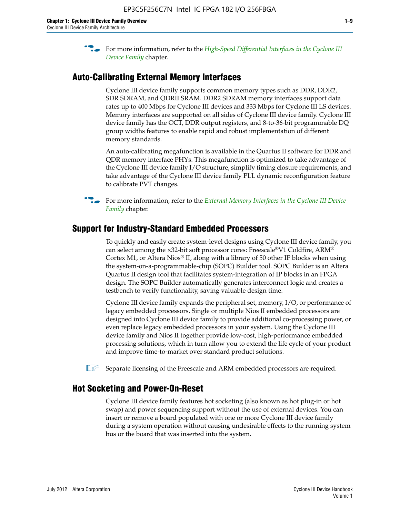**For more information, refer to the** *High-Speed Differential Interfaces in the Cyclone III* $\overline{a}$ *[Device Family](http://www.altera.com/literature/hb/cyc3/cyc3_ciii51008.pdf)* chapter.

#### **Auto-Calibrating External Memory Interfaces**

Cyclone III device family supports common memory types such as DDR, DDR2, SDR SDRAM, and QDRII SRAM. DDR2 SDRAM memory interfaces support data rates up to 400 Mbps for Cyclone III devices and 333 Mbps for Cyclone III LS devices. Memory interfaces are supported on all sides of Cyclone III device family. Cyclone III device family has the OCT, DDR output registers, and 8-to-36-bit programmable DQ group widths features to enable rapid and robust implementation of different memory standards.

An auto-calibrating megafunction is available in the Quartus II software for DDR and QDR memory interface PHYs. This megafunction is optimized to take advantage of the Cyclone III device family I/O structure, simplify timing closure requirements, and take advantage of the Cyclone III device family PLL dynamic reconfiguration feature to calibrate PVT changes.

**For more information, refer to the** *External Memory Interfaces in the Cyclone III Device [Family](http://www.altera.com/literature/hb/cyc3/cyc3_ciii51009.pdf)* chapter.

#### **Support for Industry-Standard Embedded Processors**

To quickly and easily create system-level designs using Cyclone III device family, you can select among the ×32-bit soft processor cores: Freescale®V1 Coldfire, ARM® Cortex M1, or Altera Nios® II, along with a library of 50 other IP blocks when using the system-on-a-programmable-chip (SOPC) Builder tool. SOPC Builder is an Altera Quartus II design tool that facilitates system-integration of IP blocks in an FPGA design. The SOPC Builder automatically generates interconnect logic and creates a testbench to verify functionality, saving valuable design time.

Cyclone III device family expands the peripheral set, memory, I/O, or performance of legacy embedded processors. Single or multiple Nios II embedded processors are designed into Cyclone III device family to provide additional co-processing power, or even replace legacy embedded processors in your system. Using the Cyclone III device family and Nios II together provide low-cost, high-performance embedded processing solutions, which in turn allow you to extend the life cycle of your product and improve time-to-market over standard product solutions.

 $\mathbb{I}$  Separate licensing of the Freescale and ARM embedded processors are required.

#### **Hot Socketing and Power-On-Reset**

Cyclone III device family features hot socketing (also known as hot plug-in or hot swap) and power sequencing support without the use of external devices. You can insert or remove a board populated with one or more Cyclone III device family during a system operation without causing undesirable effects to the running system bus or the board that was inserted into the system.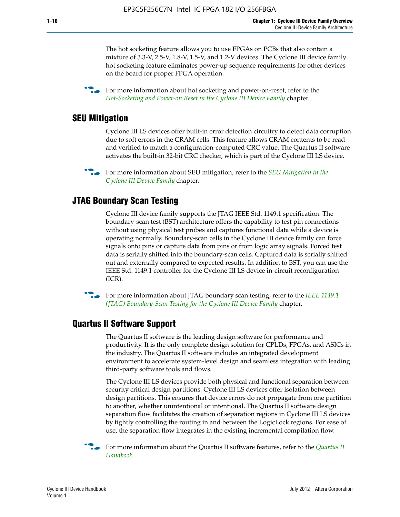The hot socketing feature allows you to use FPGAs on PCBs that also contain a mixture of 3.3-V, 2.5-V, 1.8-V, 1.5-V, and 1.2-V devices. The Cyclone III device family hot socketing feature eliminates power-up sequence requirements for other devices on the board for proper FPGA operation.

For more information about hot socketing and power-on-reset, refer to the *[Hot-Socketing and Power-on Reset in the Cyclone III Device Family](http://www.altera.com/literature/hb/cyc3/cyc3_ciii51011.pdf)* chapter.

#### **SEU Mitigation**

Cyclone III LS devices offer built-in error detection circuitry to detect data corruption due to soft errors in the CRAM cells. This feature allows CRAM contents to be read and verified to match a configuration-computed CRC value. The Quartus II software activates the built-in 32-bit CRC checker, which is part of the Cyclone III LS device.

**For more information about SEU mitigation, refer to the** *SEU Mitigation in the [Cyclone III Device Family](http://www.altera.com/literature/hb/cyc3/cyc3_ciii51013.pdf)* chapter.

#### **JTAG Boundary Scan Testing**

Cyclone III device family supports the JTAG IEEE Std. 1149.1 specification. The boundary-scan test (BST) architecture offers the capability to test pin connections without using physical test probes and captures functional data while a device is operating normally. Boundary-scan cells in the Cyclone III device family can force signals onto pins or capture data from pins or from logic array signals. Forced test data is serially shifted into the boundary-scan cells. Captured data is serially shifted out and externally compared to expected results. In addition to BST, you can use the IEEE Std. 1149.1 controller for the Cyclone III LS device in-circuit reconfiguration (ICR).

**f f**or more information about JTAG boundary scan testing, refer to the *IEEE* 1149.1 *[\(JTAG\) Boundary-Scan Testing for the Cyclone III Device Family](http://www.altera.com/literature/hb/cyc3/cyc3_ciii51014.pdf)* chapter.

#### **Quartus II Software Support**

The Quartus II software is the leading design software for performance and productivity. It is the only complete design solution for CPLDs, FPGAs, and ASICs in the industry. The Quartus II software includes an integrated development environment to accelerate system-level design and seamless integration with leading third-party software tools and flows.

The Cyclone III LS devices provide both physical and functional separation between security critical design partitions. Cyclone III LS devices offer isolation between design partitions. This ensures that device errors do not propagate from one partition to another, whether unintentional or intentional. The Quartus II software design separation flow facilitates the creation of separation regions in Cyclone III LS devices by tightly controlling the routing in and between the LogicLock regions. For ease of use, the separation flow integrates in the existing incremental compilation flow.

f For more information about the Quartus II software features, refer to the *[Quartus II](http://www.altera.com/literature/hb/qts/quartusii_handbook.pdf)  [Handbook](http://www.altera.com/literature/hb/qts/quartusii_handbook.pdf)*.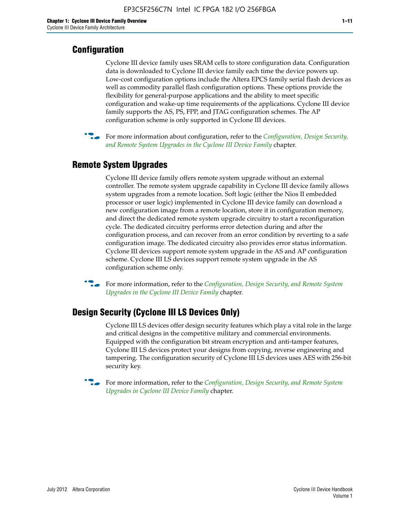#### **Configuration**

Cyclone III device family uses SRAM cells to store configuration data. Configuration data is downloaded to Cyclone III device family each time the device powers up. Low-cost configuration options include the Altera EPCS family serial flash devices as well as commodity parallel flash configuration options. These options provide the flexibility for general-purpose applications and the ability to meet specific configuration and wake-up time requirements of the applications. Cyclone III device family supports the AS, PS, FPP, and JTAG configuration schemes. The AP configuration scheme is only supported in Cyclone III devices.



f For more information about configuration, refer to the *[Configuration, Design Security,](http://www.altera.com/literature/hb/cyc3/cyc3_ciii51016.pdf)  [and Remote System Upgrades in the Cyclone III Device Family](http://www.altera.com/literature/hb/cyc3/cyc3_ciii51016.pdf)* chapter.

#### **Remote System Upgrades**

Cyclone III device family offers remote system upgrade without an external controller. The remote system upgrade capability in Cyclone III device family allows system upgrades from a remote location. Soft logic (either the Nios II embedded processor or user logic) implemented in Cyclone III device family can download a new configuration image from a remote location, store it in configuration memory, and direct the dedicated remote system upgrade circuitry to start a reconfiguration cycle. The dedicated circuitry performs error detection during and after the configuration process, and can recover from an error condition by reverting to a safe configuration image. The dedicated circuitry also provides error status information. Cyclone III devices support remote system upgrade in the AS and AP configuration scheme. Cyclone III LS devices support remote system upgrade in the AS configuration scheme only.

**For more information, refer to the** *Configuration, Design Security, and Remote System [Upgrades in the Cyclone III Device Family](http://www.altera.com/literature/hb/cyc3/cyc3_ciii51016.pdf)* chapter.

#### **Design Security (Cyclone III LS Devices Only)**

Cyclone III LS devices offer design security features which play a vital role in the large and critical designs in the competitive military and commercial environments. Equipped with the configuration bit stream encryption and anti-tamper features, Cyclone III LS devices protect your designs from copying, reverse engineering and tampering. The configuration security of Cyclone III LS devices uses AES with 256-bit security key.

f For more information, refer to the *[Configuration, Design Security, and Remote System](http://www.altera.com/literature/hb/cyc3/cyc3_ciii51016.pdf)  [Upgrades in Cyclone III Device Family](http://www.altera.com/literature/hb/cyc3/cyc3_ciii51016.pdf)* chapter.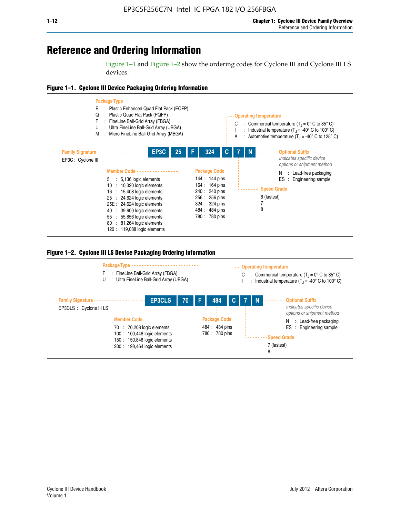# **Reference and Ordering Information**

Figure 1–1 and Figure 1–2 show the ordering codes for Cyclone III and Cyclone III LS devices.







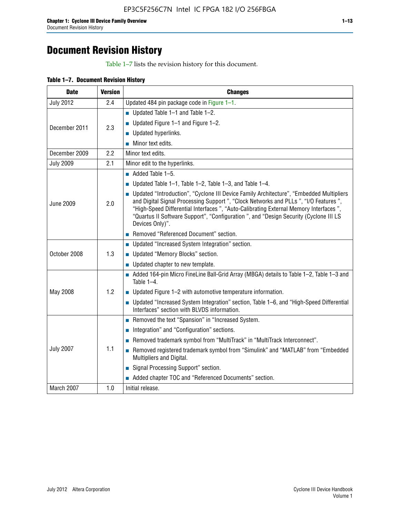# **Document Revision History**

Table 1–7 lists the revision history for this document.

| Table 1-7. Document Revision History |
|--------------------------------------|
|--------------------------------------|

| <b>Date</b>      | <b>Version</b> | <b>Changes</b>                                                                                                                                                                                                                                                                                                                                                                          |
|------------------|----------------|-----------------------------------------------------------------------------------------------------------------------------------------------------------------------------------------------------------------------------------------------------------------------------------------------------------------------------------------------------------------------------------------|
| <b>July 2012</b> | 2.4            | Updated 484 pin package code in Figure 1-1.                                                                                                                                                                                                                                                                                                                                             |
|                  |                | Updated Table $1-1$ and Table $1-2$ .                                                                                                                                                                                                                                                                                                                                                   |
| December 2011    | 2.3            | ■ Updated Figure $1-1$ and Figure $1-2$ .                                                                                                                                                                                                                                                                                                                                               |
|                  |                | <b>Updated hyperlinks.</b>                                                                                                                                                                                                                                                                                                                                                              |
|                  |                | Minor text edits.                                                                                                                                                                                                                                                                                                                                                                       |
| December 2009    | 2.2            | Minor text edits.                                                                                                                                                                                                                                                                                                                                                                       |
| <b>July 2009</b> | 2.1            | Minor edit to the hyperlinks.                                                                                                                                                                                                                                                                                                                                                           |
|                  |                | $\blacksquare$ Added Table 1-5.                                                                                                                                                                                                                                                                                                                                                         |
|                  |                | ■ Updated Table 1–1, Table 1–2, Table 1–3, and Table 1–4.                                                                                                                                                                                                                                                                                                                               |
| <b>June 2009</b> | 2.0            | • Updated "Introduction", "Cyclone III Device Family Architecture", "Embedded Multipliers<br>and Digital Signal Processing Support ", "Clock Networks and PLLs ", "I/O Features ",<br>"High-Speed Differential Interfaces ", "Auto-Calibrating External Memory Interfaces",<br>"Quartus II Software Support", "Configuration ", and "Design Security (Cyclone III LS<br>Devices Only)". |
|                  |                | Removed "Referenced Document" section.                                                                                                                                                                                                                                                                                                                                                  |
|                  |                | • Updated "Increased System Integration" section.                                                                                                                                                                                                                                                                                                                                       |
| October 2008     | 1.3            | Updated "Memory Blocks" section.                                                                                                                                                                                                                                                                                                                                                        |
|                  |                | $\blacksquare$ Updated chapter to new template.                                                                                                                                                                                                                                                                                                                                         |
|                  |                | Added 164-pin Micro FineLine Ball-Grid Array (MBGA) details to Table 1-2, Table 1-3 and<br>Table $1-4$ .                                                                                                                                                                                                                                                                                |
| May 2008         | 1.2            | $\blacksquare$ Updated Figure 1-2 with automotive temperature information.                                                                                                                                                                                                                                                                                                              |
|                  |                | • Updated "Increased System Integration" section, Table 1-6, and "High-Speed Differential<br>Interfaces" section with BLVDS information.                                                                                                                                                                                                                                                |
|                  |                | Removed the text "Spansion" in "Increased System.                                                                                                                                                                                                                                                                                                                                       |
|                  |                | Integration" and "Configuration" sections.                                                                                                                                                                                                                                                                                                                                              |
| <b>July 2007</b> |                | Removed trademark symbol from "MultiTrack" in "MultiTrack Interconnect".                                                                                                                                                                                                                                                                                                                |
|                  | 1.1            | Removed registered trademark symbol from "Simulink" and "MATLAB" from "Embedded<br>Multipliers and Digital.                                                                                                                                                                                                                                                                             |
|                  |                | Signal Processing Support" section.                                                                                                                                                                                                                                                                                                                                                     |
|                  |                | Added chapter TOC and "Referenced Documents" section.                                                                                                                                                                                                                                                                                                                                   |
| March 2007       | 1.0            | Initial release.                                                                                                                                                                                                                                                                                                                                                                        |